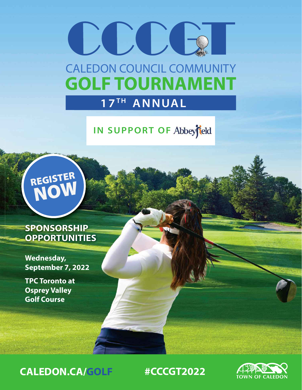# CCCCC CALEDON COUNCIL COMMUNITY<br>GOLF TOURNAMENT

## **17TH ANNUAL**

## **IN SUPPORT OF Abbeyfield**



#### **SPONSORSHIP OPPORTUNITIES**

**Wednesday, September 7, 2022**

**TPC Toronto at Osprey Valley Golf Course**



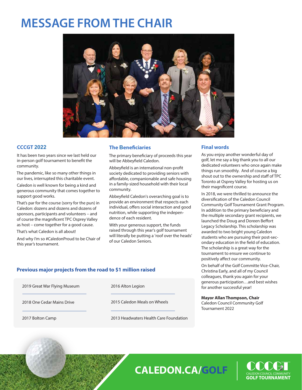## **MESSAGE FROM THE CHAIR**



#### **CCCGT 2022**

It has been two years since we last held our in-person golf tournament to benefit the community.

The pandemic, like so many other things in our lives, interrupted this charitable event.

Caledon is well known for being a kind and generous community that comes together to support good works.

That's par for the course (sorry for the pun) in Caledon: dozens and dozens and dozens of sponsors, participants and volunteers – and of course the magnificent TPC Osprey Valley as host – come together for a good cause.

That's what Caledon is all about!

#### **The Beneficiaries**

The primary beneficiary of proceeds this year will be Abbeyfield Caledon.

Abbeyfield is an international non-profit society dedicated to providing seniors with affordable, companionable and safe housing in a family-sized household with their local community.

Abbeyfield Caledon's overarching goal is to provide an environment that respects each individual, offers social interaction and good nutrition, while supporting the independence of each resident.

With your generous support, the funds raised through this year's golf tournament And why I'm so #CaledonProud to be Chair of will literally be putting a 'roof over the heads'<br>this year's tournament.

#### **Final words**

As you enjoy another wonderful day of golf, let me say a big thank you to all our dedicated volunteers who once again make things run smoothly. And of course a big shout out to the ownership and staff of TPC Toronto at Osprey Valley for hosting us on their magnificent course.

In 2018, we were thrilled to announce the diversification of the Caledon Council Community Golf Tournament Grant Program. In addition to the primary beneficiary and the multiple secondary grant recipients, we launched the Doug and Doreen Beffort Legacy Scholarship. This scholarship was awarded to two bright young Caledon students who are pursuing their post-secondary education in the field of education. The scholarship is a great way for the tournament to ensure we continue to positively affect our community.

On behalf of the Golf Committe Vice-Chair, Christina Early, and all of my Council colleagues, thank you again for your generous participation…and best wishes for another successful year!

#### **Mayor Allan Thompson, Chair**

Caledon Council Community Golf Tournament 2022

#### **Previous major projects from the road to \$1 million raised**

| 2019 Great War Flying Museum | 2016 Alton Legion                      |  |
|------------------------------|----------------------------------------|--|
| 2018 One Cedar Mains Drive   | 2015 Caledon Meals on Wheels           |  |
| 2017 Bolton Camp             | 2013 Headwaters Health Care Foundation |  |



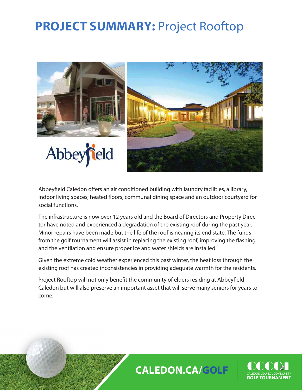## **PROJECT SUMMARY:** Project Rooftop



Abbeyfield Caledon offers an air conditioned building with laundry facilities, a library, indoor living spaces, heated floors, communal dining space and an outdoor courtyard for social functions.

The infrastructure is now over 12 years old and the Board of Directors and Property Director have noted and experienced a degradation of the existing roof during the past year. Minor repairs have been made but the life of the roof is nearing its end state. The funds from the golf tournament will assist in replacing the existing roof, improving the flashing and the ventilation and ensure proper ice and water shields are installed.

Given the extreme cold weather experienced this past winter, the heat loss through the existing roof has created inconsistencies in providing adequate warmth for the residents.

Project Rooftop will not only benefit the community of elders residing at Abbeyfield Caledon but will also preserve an important asset that will serve many seniors for years to come.

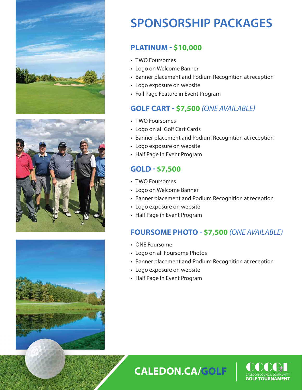





## **SPONSORSHIP PACKAGES**

#### **PLATINUM - \$10,000**

- TWO Foursomes
- Logo on Welcome Banner
- Banner placement and Podium Recognition at reception
- Logo exposure on website
- Full Page Feature in Event Program

#### **GOLF CART - \$7,500** (ONE AVAILABLE)

- TWO Foursomes
- Logo on all Golf Cart Cards
- Banner placement and Podium Recognition at reception
- Logo exposure on website
- Half Page in Event Program

#### **GOLD - \$7,500**

- TWO Foursomes
- Logo on Welcome Banner
- Banner placement and Podium Recognition at reception
- Logo exposure on website
- Half Page in Event Program

#### **FOURSOME PHOTO - \$7,500** (ONE AVAILABLE)

- ONE Foursome
- Logo on all Foursome Photos
- Banner placement and Podium Recognition at reception
- Logo exposure on website
- Half Page in Event Program

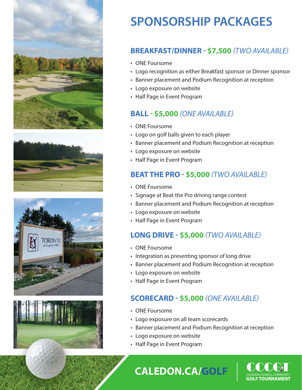









#### **BREAKFAST/DINNER - \$7,500** (TWO AVAILABLE)

- ONE Foursome
- Logo recognition as either Breakfast sponsor or Dinner sponsor
- Banner placement and Podium Recognition at reception
- Logo exposure on website
- Half Page in Event Program

#### **BALL - \$5,000** (ONE AVAILABLE)

- ONE Foursome
- Logo on golf balls given to each player
- Banner placement and Podium Recognition at reception
- Logo exposure on website
- Half Page in Event Program

#### **BEAT THE PRO - \$5,000** (TWO AVAILABLE)

- ONE Foursome
- Signage at Beat the Pro driving range contest
- Banner placement and Podium Recognition at reception
- Logo exposure on website
- Half Page in Event Program

#### **LONG DRIVE - \$5,000** (TWO AVAILABLE)

- ONE Foursome
- Integration as presenting sponsor of long drive
- Banner placement and Podium Recognition at reception
- Logo exposure on website
- Half Page in Event Program

#### **SCORECARD - \$5,000** (ONE AVAILABLE)

- ONE Foursome
- Logo exposure on all team scorecards
- Banner placement and Podium Recognition at reception
- Logo exposure on website
- Half Page in Event Program

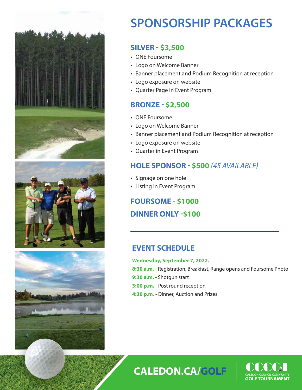



## **SPONSORSHIP PACKAGES**

#### **SILVER - \$3,500**

- ONE Foursome
- Logo on Welcome Banner
- Banner placement and Podium Recognition at reception
- Logo exposure on website
- Quarter Page in Event Program

#### **BRONZE - \$2,500**

- ONE Foursome
- Logo on Welcome Banner
- Banner placement and Podium Recognition at reception
- Logo exposure on website
- Quarter in Event Program

#### **HOLE SPONSOR - \$500** (45 AVAILABLE)

- Signage on one hole
- Listing in Event Program

## **FOURSOME - \$1000 DINNER ONLY -\$100**

#### **EVENT SCHEDULE**

#### **Wednesday, September 7, 2022.**

- **8:30 a.m.** Registration, Breakfast, Range opens and Foursome Photo
- **9:30 a.m.** Shotgun start
- **3:00 p.m.** Post round reception
- **4:30 p.m.** Dinner, Auction and Prizes